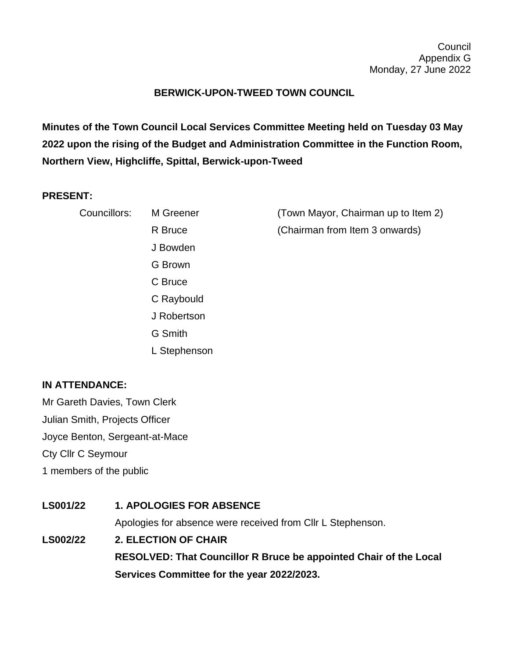## **BERWICK-UPON-TWEED TOWN COUNCIL**

**Minutes of the Town Council Local Services Committee Meeting held on Tuesday 03 May 2022 upon the rising of the Budget and Administration Committee in the Function Room, Northern View, Highcliffe, Spittal, Berwick-upon-Tweed**

## **PRESENT:**

| Councillors: | M Greener    | (Town Mayor, Chairman up to Item 2) |
|--------------|--------------|-------------------------------------|
|              | R Bruce      | (Chairman from Item 3 onwards)      |
|              | J Bowden     |                                     |
|              | G Brown      |                                     |
|              | C Bruce      |                                     |
|              | C Raybould   |                                     |
|              | J Robertson  |                                     |
|              | G Smith      |                                     |
|              | L Stephenson |                                     |

## **IN ATTENDANCE:**

Mr Gareth Davies, Town Clerk Julian Smith, Projects Officer Joyce Benton, Sergeant-at-Mace Cty Cllr C Seymour 1 members of the public

**LS001/22 1. APOLOGIES FOR ABSENCE** Apologies for absence were received from Cllr L Stephenson. **LS002/22 2. ELECTION OF CHAIR RESOLVED: That Councillor R Bruce be appointed Chair of the Local Services Committee for the year 2022/2023.**